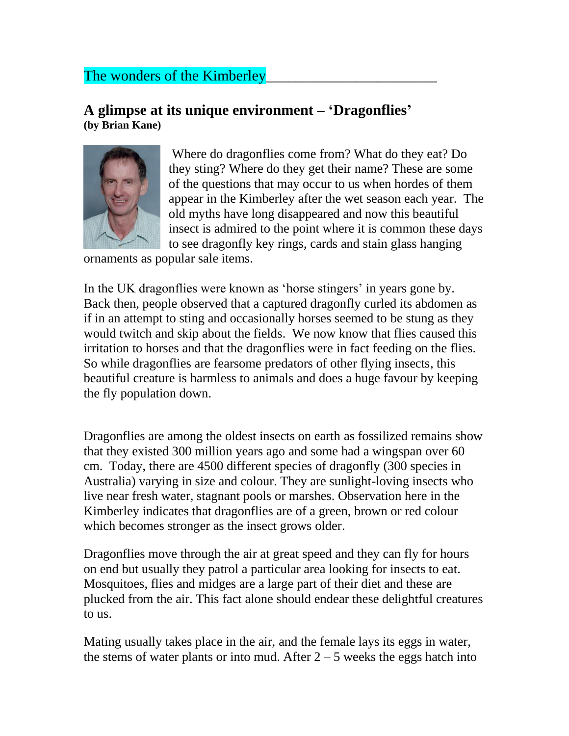## The wonders of the Kimberley

## **A glimpse at its unique environment – 'Dragonflies' (by Brian Kane)**



Where do dragonflies come from? What do they eat? Do they sting? Where do they get their name? These are some of the questions that may occur to us when hordes of them appear in the Kimberley after the wet season each year. The old myths have long disappeared and now this beautiful insect is admired to the point where it is common these days to see dragonfly key rings, cards and stain glass hanging

ornaments as popular sale items.

In the UK dragonflies were known as 'horse stingers' in years gone by. Back then, people observed that a captured dragonfly curled its abdomen as if in an attempt to sting and occasionally horses seemed to be stung as they would twitch and skip about the fields. We now know that flies caused this irritation to horses and that the dragonflies were in fact feeding on the flies. So while dragonflies are fearsome predators of other flying insects, this beautiful creature is harmless to animals and does a huge favour by keeping the fly population down.

Dragonflies are among the oldest insects on earth as fossilized remains show that they existed 300 million years ago and some had a wingspan over 60 cm. Today, there are 4500 different species of dragonfly (300 species in Australia) varying in size and colour. They are sunlight-loving insects who live near fresh water, stagnant pools or marshes. Observation here in the Kimberley indicates that dragonflies are of a green, brown or red colour which becomes stronger as the insect grows older.

Dragonflies move through the air at great speed and they can fly for hours on end but usually they patrol a particular area looking for insects to eat. Mosquitoes, flies and midges are a large part of their diet and these are plucked from the air. This fact alone should endear these delightful creatures to us.

Mating usually takes place in the air, and the female lays its eggs in water, the stems of water plants or into mud. After  $2 - 5$  weeks the eggs hatch into